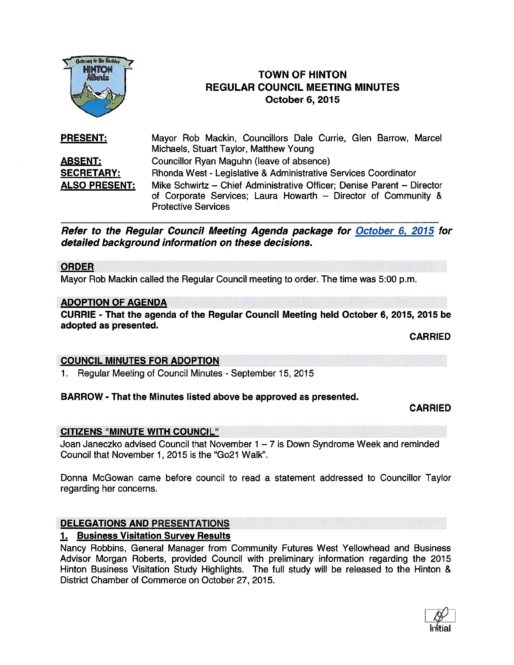

# HINTON F TOWN OF HINTON REGULAR COUNCIL MEETING MINUTES October 6, 2075

PRESENT: Mayor Rob Mackin, Councillors Dale Currie, Glen Barrow, Marcel Michaels, Stuart Taylor, Matthew Young ABSENT: Councillor Ryan Maguhn (leave of absence) SECRETARY: Rhonda West - Legislative & Administrative Services Coordinator ALSO PRESENT: Mike Schwirtz — Chief Administrative Officer; Denise Parent — Director of Corporate Services; Laura Howarth — Director of Community & Protective Services

Refer to the Regular Council Meeting Agenda package for October 6, 2015 for detailed background information on these decisions.

#### ORDER

Mayor Rob Mackin called the Regular Council meeting to order. The time was 5:00 p.m.

#### ADOPTION OF AGENDA

CURRIE - That the agenda of the Regular Council Meeting held October 6, 2015, 2015 be adopted as presented.

CARRIED

### COUNCIL MINUTES FOR ADOPTION

1. Regular Meeting of Council Minutes - September 15, 2015

### BARROW - That the Minutes listed above be approved as presented.

#### CARRIED

### CITIZENS "MINUTE WITH COUNCIL"

Joan Janeczko advised Council that November 1 — 7 is Down Syndrome Week and reminded Council that November 1, 2015 is the "Go21 Walk".

Donna McGowan came before council to read <sup>a</sup> statement addressed to Councillor Taylor regarding her concerns.

### DELEGATIONS AND PRESENTATIONS

### 1. Business Visitation Survey Results

Nancy Robbins, General Manager from Community Futures West Yellowhead and Business Advisor Morgan Roberts, provided Council with preliminary information regarding the 2015 Hinton Business Visitation Study Highlights. The full study will be released to the Hinton & District Chamber of Commerce on October 27, 2015.

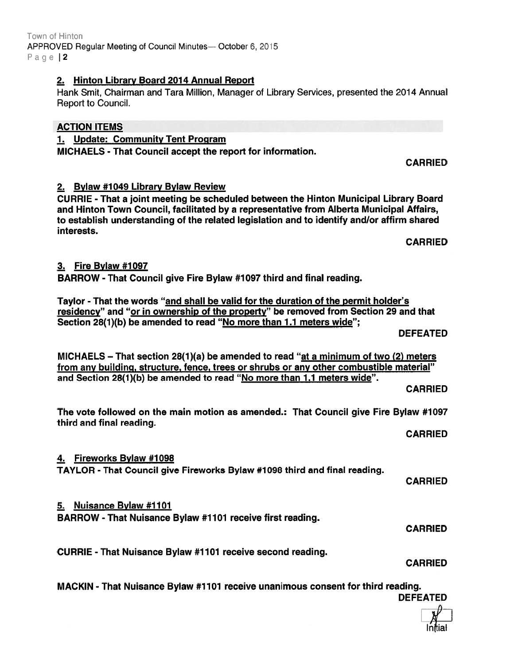#### Town of Hinton APPROVED Regular Meeting of Council Minutes— October 6, 2015 Page |2

### 2. Hinton Library Board 2014 Annual Report

Hank Smit, Chairman and Tara Million, Manager of Library Services, presented the 2014 Annual Report to Council.

### ACTION ITEMS

1. Update: Community Tent Program

MICHAELS -That Council accep<sup>t</sup> the repor<sup>t</sup> for information.

CARRIED

### 2. Bylaw #1049 Library Bylaw Review

CURRIE - That <sup>a</sup> joint meeting be scheduled between the Hinton Municipal Library Board and Hinton Town Council, facilitated by <sup>a</sup> representative from Alberta Municipal Affairs, to establish understanding of the related legislation and to identify and/or affirm shared interests.

CARRIED

## 3. Fire Bylaw #1097

BARROW - That Council give Fire Bylaw #1 097 third and final reading.

Taylor - That the words "and shall be valid for the duration of the permit holder's residency" and "or in ownership of the property" be removed from Section 29 and that Section 28(1)(b) be amended to read "No more than 1.1 meters wide";

DEFEATED

MICHAELS – That section 28(1)(a) be amended to read "at a minimum of two (2) meters from any building, structure, fence, trees or shrubs or any other combustible material" and Section 28(1)(b) be amended to read "No more than 1.1 meters wide".

CARRIED

The vote followed on the main motion as amended.: That Council give Fire Bylaw #1097 third and final reading.

CARRIED

## 4. Fireworks Bylaw #1098

TAYLOR - That Council give Fireworks Bylaw #1 098 third and final reading.

CARRIED

## 5. Nuisance Bylaw #1107

BARROW - That Nuisance Bylaw #7 107 receive first reading.

CURRIE -That Nuisance Bylaw #1 101 receive second reading.

CARRIED

CARRIED

MACKIN - That Nuisance Bylaw #1101 receive unanimous consent for third reading. DEFEATED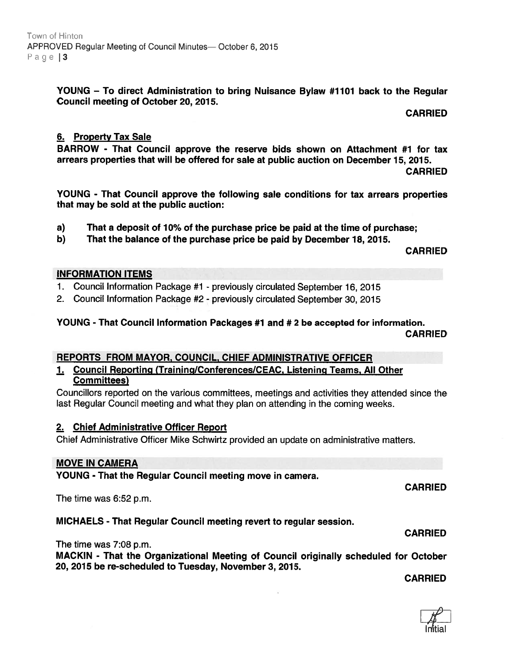YOUNG — To direct Administration to bring Nuisance Bylaw #1101 back to the Regular Council meeting of October 20, 2015.

CARRIED

### 6. Property Tax Sale

BARROW - That Council approve the reserve bids shown on Attachment #1 for tax arrears properties that will be offered for sale at public auction on December 15, 2015.

CARRIED

YOUNG - That Council approve the following sale conditions for tax arrears properties that may be sold at the public auction:

- a) That <sup>a</sup> deposit of 10% of the purchase price be paid at the time of purchase;
- b) That the balance of the purchase price be paid by December 18, 2015.

CARRIED

### INFORMATION ITEMS

1. Council Information Package #1 - previously circulated September 16, 2015

2. Council Information Package #2 - previously circulated September 30, 2015

# YOUNG - That Council Information Packages #1 and # 2 be accepted for information.

CARRIED

### REPORTS FROM MAYOR, COUNCIL, CHIEF ADMINISTRATIVE OFFICER

#### 1. Council Reporting (Training/Conferences/CEAC, Listening Teams, All Other Committees)

Councillors reported on the various committees, meetings and activities they attended since the last Regular Council meeting and what they plan on attending in the coming weeks.

### 2. Chief Administrative Officer Report

Chief Administrative Officer Mike Schwirtz provided an update on administrative matters.

### MOVE IN CAMERA

YOUNG - That the Regular Council meeting move in camera.

The time was 6:52 p.m.

### MICHAELS - That Regular Council meeting revert to regular session.

The time was 7:08 p.m.

MACKIN - That the Organizational Meeting of Council originally scheduled for October 20, 2015 be re-scheduled to Tuesday, November 3, 2075.

**CARRIED** 

CARRIED



CARRIED